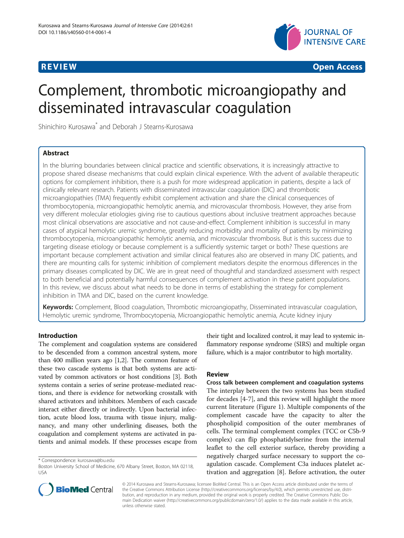

**REVIEW CONSTRUCTION CONSTRUCTION CONSTRUCTS** 

# Complement, thrombotic microangiopathy and disseminated intravascular coagulation

Shinichiro Kurosawa\* and Deborah J Stearns-Kurosawa

# Abstract

In the blurring boundaries between clinical practice and scientific observations, it is increasingly attractive to propose shared disease mechanisms that could explain clinical experience. With the advent of available therapeutic options for complement inhibition, there is a push for more widespread application in patients, despite a lack of clinically relevant research. Patients with disseminated intravascular coagulation (DIC) and thrombotic microangiopathies (TMA) frequently exhibit complement activation and share the clinical consequences of thrombocytopenia, microangiopathic hemolytic anemia, and microvascular thrombosis. However, they arise from very different molecular etiologies giving rise to cautious questions about inclusive treatment approaches because most clinical observations are associative and not cause-and-effect. Complement inhibition is successful in many cases of atypical hemolytic uremic syndrome, greatly reducing morbidity and mortality of patients by minimizing thrombocytopenia, microangiopathic hemolytic anemia, and microvascular thrombosis. But is this success due to targeting disease etiology or because complement is a sufficiently systemic target or both? These questions are important because complement activation and similar clinical features also are observed in many DIC patients, and there are mounting calls for systemic inhibition of complement mediators despite the enormous differences in the primary diseases complicated by DIC. We are in great need of thoughtful and standardized assessment with respect to both beneficial and potentially harmful consequences of complement activation in these patient populations. In this review, we discuss about what needs to be done in terms of establishing the strategy for complement inhibition in TMA and DIC, based on the current knowledge.

Keywords: Complement, Blood coagulation, Thrombotic microangiopathy, Disseminated intravascular coagulation, Hemolytic uremic syndrome, Thrombocytopenia, Microangiopathic hemolytic anemia, Acute kidney injury

# Introduction

The complement and coagulation systems are considered to be descended from a common ancestral system, more than 400 million years ago [\[1,2\]](#page-6-0). The common feature of these two cascade systems is that both systems are activated by common activators or host conditions [[3\]](#page-6-0). Both systems contain a series of serine protease-mediated reactions, and there is evidence for networking crosstalk with shared activators and inhibitors. Members of each cascade interact either directly or indirectly. Upon bacterial infection, acute blood loss, trauma with tissue injury, malignancy, and many other underlining diseases, both the coagulation and complement systems are activated in patients and animal models. If these processes escape from

\* Correspondence: [kurosawa@bu.edu](mailto:kurosawa@bu.edu)

their tight and localized control, it may lead to systemic inflammatory response syndrome (SIRS) and multiple organ failure, which is a major contributor to high mortality.

## Review

Cross talk between complement and coagulation systems The interplay between the two systems has been studied for decades [\[4](#page-6-0)-[7\]](#page-6-0), and this review will highlight the more current literature (Figure [1](#page-1-0)). Multiple components of the complement cascade have the capacity to alter the phospholipid composition of the outer membranes of cells. The terminal complement complex (TCC or C5b-9 complex) can flip phosphatidylserine from the internal leaflet to the cell exterior surface, thereby providing a negatively charged surface necessary to support the coagulation cascade. Complement C3a induces platelet activation and aggregation [[8\]](#page-6-0). Before activation, the outer



© 2014 Kurosawa and Stearns-Kurosawa; licensee BioMed Central. This is an Open Access article distributed under the terms of the Creative Commons Attribution License [\(http://creativecommons.org/licenses/by/4.0\)](http://creativecommons.org/licenses/by/4.0), which permits unrestricted use, distribution, and reproduction in any medium, provided the original work is properly credited. The Creative Commons Public Domain Dedication waiver ([http://creativecommons.org/publicdomain/zero/1.0/\)](http://creativecommons.org/publicdomain/zero/1.0/) applies to the data made available in this article, unless otherwise stated.

Boston University School of Medicine, 670 Albany Street, Boston, MA 02118, USA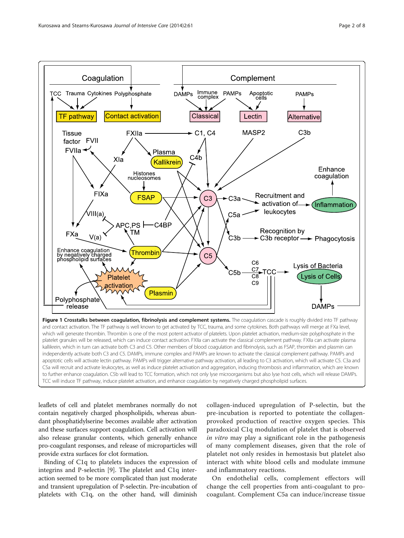<span id="page-1-0"></span>

leaflets of cell and platelet membranes normally do not contain negatively charged phospholipids, whereas abundant phosphatidylserine becomes available after activation and these surfaces support coagulation. Cell activation will also release granular contents, which generally enhance pro-coagulant responses, and release of microparticles will provide extra surfaces for clot formation.

Binding of C1q to platelets induces the expression of integrins and P-selectin [\[9](#page-6-0)]. The platelet and C1q interaction seemed to be more complicated than just moderate and transient upregulation of P-selectin. Pre-incubation of platelets with C1q, on the other hand, will diminish

collagen-induced upregulation of P-selectin, but the pre-incubation is reported to potentiate the collagenprovoked production of reactive oxygen species. This paradoxical C1q modulation of platelet that is observed in vitro may play a significant role in the pathogenesis of many complement diseases, given that the role of platelet not only resides in hemostasis but platelet also interact with white blood cells and modulate immune and inflammatory reactions.

On endothelial cells, complement effectors will change the cell properties from anti-coagulant to procoagulant. Complement C5a can induce/increase tissue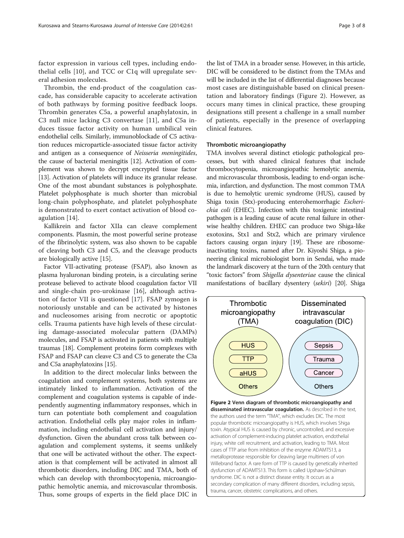factor expression in various cell types, including endothelial cells [\[10](#page-6-0)], and TCC or C1q will upregulate several adhesion molecules.

Thrombin, the end-product of the coagulation cascade, has considerable capacity to accelerate activation of both pathways by forming positive feedback loops. Thrombin generates C5a, a powerful anaphylatoxin, in C3 null mice lacking C3 convertase [[11](#page-6-0)], and C5a induces tissue factor activity on human umbilical vein endothelial cells. Similarly, immunoblockade of C5 activation reduces microparticle-associated tissue factor activity and antigen as a consequence of Neisseria meningitides, the cause of bacterial meningitis [\[12](#page-6-0)]. Activation of complement was shown to decrypt encrypted tissue factor [[13](#page-6-0)]. Activation of platelets will induce its granular release. One of the most abundant substances is polyphosphate. Platelet polyphosphate is much shorter than microbial long-chain polyphosphate, and platelet polyphosphate is demonstrated to exert contact activation of blood coagulation [\[14](#page-6-0)].

Kallikrein and factor XIIa can cleave complement components. Plasmin, the most powerful serine protease of the fibrinolytic system, was also shown to be capable of cleaving both C3 and C5, and the cleavage products are biologically active [[15](#page-6-0)].

Factor VII-activating protease (FSAP), also known as plasma hyaluronan binding protein, is a circulating serine protease believed to activate blood coagulation factor VII and single-chain pro-urokinase [\[16](#page-6-0)], although activation of factor VII is questioned [[17](#page-6-0)]. FSAP zymogen is notoriously unstable and can be activated by histones and nucleosomes arising from necrotic or apoptotic cells. Trauma patients have high levels of these circulating damage-associated molecular pattern (DAMPs) molecules, and FSAP is activated in patients with multiple traumas [\[18](#page-6-0)]. Complement proteins form complexes with FSAP and FSAP can cleave C3 and C5 to generate the C3a and C5a anaphylatoxins [\[15\]](#page-6-0).

In addition to the direct molecular links between the coagulation and complement systems, both systems are intimately linked to inflammation. Activation of the complement and coagulation systems is capable of independently augmenting inflammatory responses, which in turn can potentiate both complement and coagulation activation. Endothelial cells play major roles in inflammation, including endothelial cell activation and injury/ dysfunction. Given the abundant cross talk between coagulation and complement systems, it seems unlikely that one will be activated without the other. The expectation is that complement will be activated in almost all thrombotic disorders, including DIC and TMA, both of which can develop with thrombocytopenia, microangiopathic hemolytic anemia, and microvascular thrombosis. Thus, some groups of experts in the field place DIC in

the list of TMA in a broader sense. However, in this article, DIC will be considered to be distinct from the TMAs and will be included in the list of differential diagnoses because most cases are distinguishable based on clinical presentation and laboratory findings (Figure 2). However, as occurs many times in clinical practice, these grouping designations still present a challenge in a small number of patients, especially in the presence of overlapping clinical features.

#### Thrombotic microangiopathy

TMA involves several distinct etiologic pathological processes, but with shared clinical features that include thrombocytopenia, microangiopathic hemolytic anemia, and microvascular thrombosis, leading to end-organ ischemia, infarction, and dysfunction. The most common TMA is due to hemolytic uremic syndrome (HUS), caused by Shiga toxin (Stx)-producing enterohemorrhagic Escherichia coli (EHEC). Infection with this toxigenic intestinal pathogen is a leading cause of acute renal failure in otherwise healthy children. EHEC can produce two Shiga-like exotoxins, Stx1 and Stx2, which are primary virulence factors causing organ injury [\[19\]](#page-6-0). These are ribosomeinactivating toxins, named after Dr. Kiyoshi Shiga, a pioneering clinical microbiologist born in Sendai, who made the landmark discovery at the turn of the 20th century that "toxic factors" from Shigella dysenteriae cause the clinical manifestations of bacillary dysentery (sekiri) [\[20\]](#page-6-0). Shiga



Figure 2 Venn diagram of thrombotic microangiopathy and disseminated intravascular coagulation. As described in the text, the authors used the term "TMA", which excludes DIC. The most popular thrombotic microangiopathy is HUS, which involves Shiga toxin. Atypical HUS is caused by chronic, uncontrolled, and excessive activation of complement-inducing platelet activation, endothelial injury, white cell recruitment, and activation, leading to TMA. Most cases of TTP arise from inhibition of the enzyme ADAMTS13, a metalloprotease responsible for cleaving large multimers of von Willebrand factor. A rare form of TTP is caused by genetically inherited dysfunction of ADAMTS13. This form is called Upshaw-Schülman syndrome. DIC is not a distinct disease entity. It occurs as a secondary complication of many different disorders, including sepsis, trauma, cancer, obstetric complications, and others.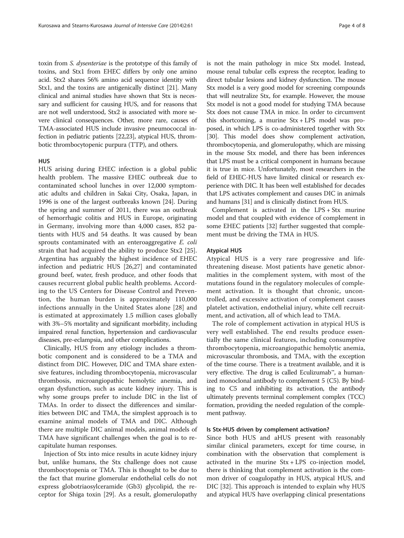toxin from S. dysenteriae is the prototype of this family of toxins, and Stx1 from EHEC differs by only one amino acid. Stx2 shares 56% amino acid sequence identity with Stx1, and the toxins are antigenically distinct [\[21\]](#page-6-0). Many clinical and animal studies have shown that Stx is necessary and sufficient for causing HUS, and for reasons that are not well understood, Stx2 is associated with more severe clinical consequences. Other, more rare, causes of TMA-associated HUS include invasive pneumococcal infection in pediatric patients [\[22,23](#page-6-0)], atypical HUS, thrombotic thrombocytopenic purpura (TTP), and others.

#### **HUS**

HUS arising during EHEC infection is a global public health problem. The massive EHEC outbreak due to contaminated school lunches in over 12,000 symptomatic adults and children in Sakai City, Osaka, Japan, in 1996 is one of the largest outbreaks known [\[24\]](#page-6-0). During the spring and summer of 2011, there was an outbreak of hemorrhagic colitis and HUS in Europe, originating in Germany, involving more than 4,000 cases, 852 patients with HUS and 54 deaths. It was caused by bean sprouts contaminated with an enteroaggregative E. coli strain that had acquired the ability to produce Stx2 [\[25](#page-6-0)]. Argentina has arguably the highest incidence of EHEC infection and pediatric HUS [\[26,27\]](#page-6-0) and contaminated ground beef, water, fresh produce, and other foods that causes recurrent global public health problems. According to the US Centers for Disease Control and Prevention, the human burden is approximately 110,000 infections annually in the United States alone [\[28](#page-6-0)] and is estimated at approximately 1.5 million cases globally with 3%–5% mortality and significant morbidity, including impaired renal function, hypertension and cardiovascular diseases, pre-eclampsia, and other complications.

Clinically, HUS from any etiology includes a thrombotic component and is considered to be a TMA and distinct from DIC. However, DIC and TMA share extensive features, including thrombocytopenia, microvascular thrombosis, microangiopathic hemolytic anemia, and organ dysfunction, such as acute kidney injury. This is why some groups prefer to include DIC in the list of TMAs. In order to dissect the differences and similarities between DIC and TMA, the simplest approach is to examine animal models of TMA and DIC. Although there are multiple DIC animal models, animal models of TMA have significant challenges when the goal is to recapitulate human responses.

Injection of Stx into mice results in acute kidney injury but, unlike humans, the Stx challenge does not cause thrombocytopenia or TMA. This is thought to be due to the fact that murine glomerular endothelial cells do not express globotriaosylceramide (Gb3) glycolipid, the receptor for Shiga toxin [[29\]](#page-6-0). As a result, glomerulopathy is not the main pathology in mice Stx model. Instead, mouse renal tubular cells express the receptor, leading to direct tubular lesions and kidney dysfunction. The mouse Stx model is a very good model for screening compounds that will neutralize Stx, for example. However, the mouse Stx model is not a good model for studying TMA because Stx does not cause TMA in mice. In order to circumvent this shortcoming, a murine Stx + LPS model was proposed, in which LPS is co-administered together with Stx [[30](#page-6-0)]. This model does show complement activation, thrombocytopenia, and glomerulopathy, which are missing in the mouse Stx model, and there has been inferences that LPS must be a critical component in humans because it is true in mice. Unfortunately, most researchers in the field of EHEC-HUS have limited clinical or research experience with DIC. It has been well established for decades that LPS activates complement and causes DIC in animals and humans [\[31](#page-6-0)] and is clinically distinct from HUS.

Complement is activated in the LPS + Stx murine model and that coupled with evidence of complement in some EHEC patients [[32\]](#page-6-0) further suggested that complement must be driving the TMA in HUS.

#### Atypical HUS

Atypical HUS is a very rare progressive and lifethreatening disease. Most patients have genetic abnormalities in the complement system, with most of the mutations found in the regulatory molecules of complement activation. It is thought that chronic, uncontrolled, and excessive activation of complement causes platelet activation, endothelial injury, white cell recruitment, and activation, all of which lead to TMA.

The role of complement activation in atypical HUS is very well established. The end results produce essentially the same clinical features, including consumptive thrombocytopenia, microangiopathic hemolytic anemia, microvascular thrombosis, and TMA, with the exception of the time course. There is a treatment available, and it is very effective. The drug is called Eculizumab™, a humanized monoclonal antibody to complement 5 (C5). By binding to C5 and inhibiting its activation, the antibody ultimately prevents terminal complement complex (TCC) formation, providing the needed regulation of the complement pathway.

#### Is Stx-HUS driven by complement activation?

Since both HUS and aHUS present with reasonably similar clinical parameters, except for time course, in combination with the observation that complement is activated in the murine Stx + LPS co-injection model, there is thinking that complement activation is the common driver of coagulopathy in HUS, atypical HUS, and DIC [[32\]](#page-6-0). This approach is intended to explain why HUS and atypical HUS have overlapping clinical presentations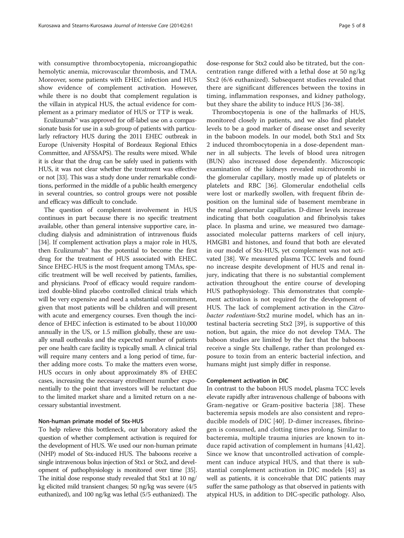with consumptive thrombocytopenia, microangiopathic hemolytic anemia, microvascular thrombosis, and TMA. Moreover, some patients with EHEC infection and HUS show evidence of complement activation. However, while there is no doubt that complement regulation is the villain in atypical HUS, the actual evidence for complement as a primary mediator of HUS or TTP is weak.

Eculizumab™ was approved for off-label use on a compassionate basis for use in a sub-group of patients with particularly refractory HUS during the 2011 EHEC outbreak in Europe (University Hospital of Bordeaux Regional Ethics Committee, and AFSSAPS). The results were mixed. While it is clear that the drug can be safely used in patients with HUS, it was not clear whether the treatment was effective or not [\[33\]](#page-6-0). This was a study done under remarkable conditions, performed in the middle of a public health emergency in several countries, so control groups were not possible and efficacy was difficult to conclude.

The question of complement involvement in HUS continues in part because there is no specific treatment available, other than general intensive supportive care, including dialysis and administration of intravenous fluids [[34](#page-6-0)]. If complement activation plays a major role in HUS, then Eculizumab™ has the potential to become the first drug for the treatment of HUS associated with EHEC. Since EHEC-HUS is the most frequent among TMAs, specific treatment will be well received by patients, families, and physicians. Proof of efficacy would require randomized double-blind placebo controlled clinical trials which will be very expensive and need a substantial commitment, given that most patients will be children and will present with acute and emergency courses. Even though the incidence of EHEC infection is estimated to be about 110,000 annually in the US, or 1.5 million globally, these are usually small outbreaks and the expected number of patients per one health care facility is typically small. A clinical trial will require many centers and a long period of time, further adding more costs. To make the matters even worse, HUS occurs in only about approximately 8% of EHEC cases, increasing the necessary enrollment number exponentially to the point that investors will be reluctant due to the limited market share and a limited return on a necessary substantial investment.

#### Non-human primate model of Stx-HUS

To help relieve this bottleneck, our laboratory asked the question of whether complement activation is required for the development of HUS. We used our non-human primate (NHP) model of Stx-induced HUS. The baboons receive a single intravenous bolus injection of Stx1 or Stx2, and development of pathophysiology is monitored over time [\[35](#page-6-0)]. The initial dose response study revealed that Stx1 at 10 ng/ kg elicited mild transient changes; 50 ng/kg was severe (4/5 euthanized), and 100 ng/kg was lethal (5/5 euthanized). The

dose-response for Stx2 could also be titrated, but the concentration range differed with a lethal dose at 50 ng/kg Stx2 (6/6 euthanized). Subsequent studies revealed that there are significant differences between the toxins in timing, inflammation responses, and kidney pathology, but they share the ability to induce HUS [[36-](#page-6-0)[38](#page-7-0)].

Thrombocytopenia is one of the hallmarks of HUS, monitored closely in patients, and we also find platelet levels to be a good marker of disease onset and severity in the baboon models. In our model, both Stx1 and Stx 2 induced thrombocytopenia in a dose-dependent manner in all subjects. The levels of blood urea nitrogen (BUN) also increased dose dependently. Microscopic examination of the kidneys revealed microthrombi in the glomerular capillary, mostly made up of platelets or platelets and RBC [\[36](#page-6-0)]. Glomerular endothelial cells were lost or markedly swollen, with frequent fibrin deposition on the luminal side of basement membrane in the renal glomerular capillaries. D-dimer levels increase indicating that both coagulation and fibrinolysis takes place. In plasma and urine, we measured two damageassociated molecular patterns markers of cell injury, HMGB1 and histones, and found that both are elevated in our model of Stx-HUS, yet complement was not activated [\[38](#page-7-0)]. We measured plasma TCC levels and found no increase despite development of HUS and renal injury, indicating that there is no substantial complement activation throughout the entire course of developing HUS pathophysiology. This demonstrates that complement activation is not required for the development of HUS. The lack of complement activation in the Citrobacter rodentium-Stx2 murine model, which has an intestinal bacteria secreting Stx2 [[39\]](#page-7-0), is supportive of this notion, but again, the mice do not develop TMA. The baboon studies are limited by the fact that the baboons receive a single Stx challenge, rather than prolonged exposure to toxin from an enteric bacterial infection, and humans might just simply differ in response.

#### Complement activation in DIC

In contrast to the baboon HUS model, plasma TCC levels elevate rapidly after intravenous challenge of baboons with Gram-negative or Gram-positive bacteria [[38](#page-7-0)]. These bacteremia sepsis models are also consistent and reproducible models of DIC [\[40](#page-7-0)]. D-dimer increases, fibrinogen is consumed, and clotting times prolong. Similar to bacteremia, multiple trauma injuries are known to induce rapid activation of complement in humans [[41,42](#page-7-0)]. Since we know that uncontrolled activation of complement can induce atypical HUS, and that there is substantial complement activation in DIC models [[43\]](#page-7-0) as well as patients, it is conceivable that DIC patients may suffer the same pathology as that observed in patients with atypical HUS, in addition to DIC-specific pathology. Also,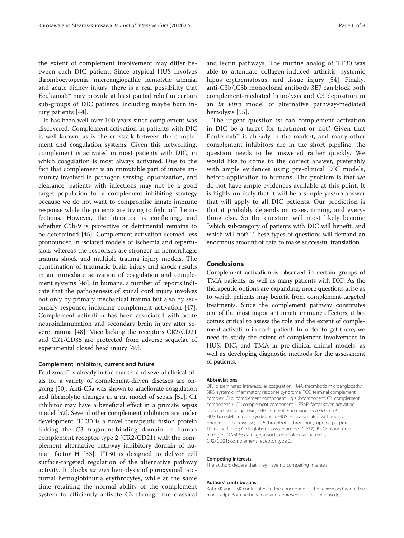the extent of complement involvement may differ between each DIC patient. Since atypical HUS involves thrombocytopenia, microangiopathic hemolytic anemia, and acute kidney injury, there is a real possibility that Eculizmab™ may provide at least partial relief in certain sub-groups of DIC patients, including maybe burn injury patients [[44\]](#page-7-0).

It has been well over 100 years since complement was discovered. Complement activation in patients with DIC is well known, as is the crosstalk between the complement and coagulation systems. Given this networking, complement is activated in most patients with DIC, in which coagulation is most always activated. Due to the fact that complement is an immutable part of innate immunity involved in pathogen sensing, opsonization, and clearance, patients with infections may not be a good target population for a complement inhibiting strategy because we do not want to compromise innate immune response while the patients are trying to fight off the infections. However, the literature is conflicting, and whether C5b-9 is protective or detrimental remains to be determined [\[45\]](#page-7-0). Complement activation seemed less pronounced in isolated models of ischemia and reperfusion, whereas the responses are stronger in hemorrhagic trauma shock and multiple trauma injury models. The combination of traumatic brain injury and shock results in an immediate activation of coagulation and complement systems [\[46](#page-7-0)]. In humans, a number of reports indicate that the pathogenesis of spinal cord injury involves not only by primary mechanical trauma but also by secondary response, including complement activation [\[47](#page-7-0)]. Complement activation has been associated with acute neuroinflammation and secondary brain injury after severe trauma [[48\]](#page-7-0). Mice lacking the receptors CR2/CD21 and CR1/CD35 are protected from adverse sequelae of experimental closed head injury [\[49](#page-7-0)].

#### Complement inhibitors, current and future

Eculizmab™ is already in the market and several clinical trials for a variety of complement-driven diseases are ongoing [[50](#page-7-0)]. Anti-C5a was shown to ameliorate coagulation and fibrinolytic changes in a rat model of sepsis [[51](#page-7-0)]. C1 inhibitor may have a beneficial effect in a primate sepsis model [\[52\]](#page-7-0). Several other complement inhibitors are under development. TT30 is a novel therapeutic fusion protein linking the C3 fragment-binding domain of human complement receptor type 2 (CR2/CD21) with the complement alternative pathway inhibitory domain of human factor H [[53](#page-7-0)]. TT30 is designed to deliver cell surface-targeted regulation of the alternative pathway activity. It blocks ex vivo hemolysis of paroxysmal nocturnal hemoglobinuria erythrocytes, while at the same time retaining the normal ability of the complement system to efficiently activate C3 through the classical

and lectin pathways. The murine analog of TT30 was able to attenuate collagen-induced arthritis, systemic lupus erythematosus, and tissue injury [[54](#page-7-0)]. Finally, anti-C3b/iC3b monoclonal antibody 3E7 can block both complement-mediated hemolysis and C3 deposition in an in vitro model of alternative pathway-mediated hemolysis [[55\]](#page-7-0).

The urgent question is: can complement activation in DIC be a target for treatment or not? Given that Eculizmab™ is already in the market, and many other complement inhibitors are in the short pipeline, the question needs to be answered rather quickly. We would like to come to the correct answer, preferably with ample evidences using pre-clinical DIC models, before application to humans. The problem is that we do not have ample evidences available at this point. It is highly unlikely that it will be a simple yes/no answer that will apply to all DIC patients. Our prediction is that it probably depends on cases, timing, and everything else. So the question will most likely become "which subcategory of patients with DIC will benefit, and which will not?" These types of questions will demand an enormous amount of data to make successful translation.

#### Conclusions

Complement activation is observed in certain groups of TMA patients, as well as many patients with DIC. As the therapeutic options are expanding, more questions arise as to which patients may benefit from complement-targeted treatments. Since the complement pathway constitutes one of the most important innate immune effectors, it becomes critical to assess the role and the extent of complement activation in each patient. In order to get there, we need to study the extent of complement involvement in HUS, DIC, and TMA in pre-clinical animal models, as well as developing diagnostic methods for the assessment of patients.

#### Abbreviations

DIC: disseminated intravascular coagulation; TMA: thrombotic microangiopathy; SIRS: systemic inflammatory response syndrome; TCC: terminal complement complex; C1q: complement component 1 q subcomponent; C3: complement component 3; C5: complement component 5; FSAP: factor seven activating protease; Stx: Shiga toxin; EHEC: enterohemorrhagic Escherichia coli; HUS: hemolytic uremic syndrome; p-HUS: HUS associated with invasive pneumococcal disease; TTP: thrombotic thrombocytopenic purpura; TF: tissue factor; Gb3: globotriaosylceramide (CD77); BUN: blood urea nitrogen; DAMPs: damage-associated molecular patterns; CR2/CD21: complement receptor type 2.

#### Competing interests

The authors declare that they have no competing interests.

#### Authors' contributions

Both SK and DSK contributed to the conception of the review and wrote the manuscript. Both authors read and approved the final manuscript.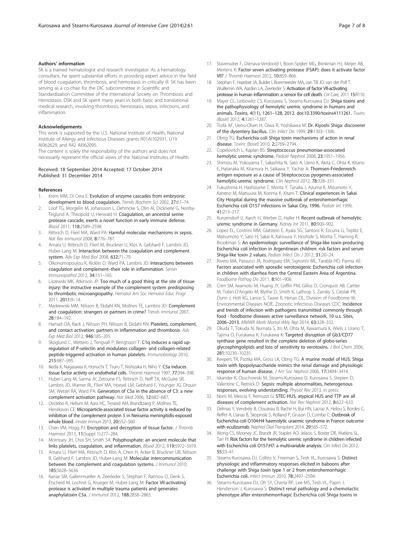#### <span id="page-6-0"></span>Authors' information

SK is a trained hematologist and research investigator. As a hematology consultant, he spent substantial efforts in providing expert advice in the field of blood coagulation, thrombosis, and hemostasis in critically ill. SK has been serving as a co-chair for the DIC subcommittee in Scientific and Standardization Committee of the International Society on Thrombosis and Hemostasis. DSK and SK spent many years in both basic and translational medical research, involving thrombosis, hemostasis, sepsis, infections, and inflammation.

#### Acknowledgements

This work is supported by the U.S. National Institute of Health, National Institute of Allergy and Infectious Diseases grants R01AI102931, U19 AI062629, and R42 AI062095.

The content is solely the responsibility of the authors and does not necessarily represent the official views of the National Institutes of Health.

#### Received: 18 September 2014 Accepted: 17 October 2014 Published: 31 December 2014

#### References

- 1. Krem MM, Di Cera E: Evolution of enzyme cascades from embryonic development to blood coagulation. Trends Biochem Sci 2002, 27:67-74.
- 2. Loof TG, Morgelin M, Johansson L, Oehmcke S, Olin AI, Dickneite G, Norrby-Teglund A, Theopold U, Herwald H: Coagulation, an ancestral serine protease cascade, exerts a novel function in early immune defense. Blood 2011, 118:2589–2598.
- Rittirsch D, Flierl MA, Ward PA: Harmful molecular mechanisms in sepsis. Nat Rev Immunol 2008, 8:776–787.
- 4. Amara U, Rittirsch D, Flierl M, Bruckner U, Klos A, Gebhard F, Lambris JD, Huber-Lang M: Interaction between the coagulation and complement system. Adv Exp Med Biol 2008, 632:71–79.
- 5. Oikonomopoulou K, Ricklin D, Ward PA, Lambris JD: Interactions between coagulation and complement–their role in inflammation. Semin Immunopathol 2012, 34:151–165.
- Liszewski MK, Atkinson JP: Too much of a good thing at the site of tissue injury: the instructive example of the complement system predisposing to thrombotic microangiopathy. Hematol Am Soc Hematol Educ Progr 2011, 2011:9–14.
- 7. Markiewski MM, Nilsson B, Ekdahl KN, Mollnes TE, Lambris JD: Complement and coagulation: strangers or partners in crime? Trends Immunol 2007, 28:184–192.
- 8. Hamad OA, Back J, Nilsson PH, Nilsson B, Ekdahl KN: Platelets, complement, and contact activation: partners in inflammation and thrombosis. Adv Exp Med Biol 2012, 946:185–205.
- Skoglund C, Wettero J, Tengvall P, Bengtsson T: C1q induces a rapid upregulation of P-selectin and modulates collagen- and collagen-related peptide-triggered activation in human platelets. Immunobiology 2010, 215:987–995.
- 10. Ikeda K, Nagasawa K, Horiuchi T, Tsuru T, Nishizaka H, Niho Y: C5a induces tissue factor activity on endothelial cells. Thromb Haemost 1997, 77:394–398.
- 11. Huber-Lang M, Sarma JV, Zetoune FS, Rittirsch D, Neff TA, McGuire SR, Lambris JD, Warner RL, Flierl MA, Hoesel LM, Gebhard F, Younger JG, Drouin SM, Wetsel RA, Ward PA: Generation of C5a in the absence of C3: a new complement activation pathway. Nat Med 2006, 12:682–687.
- 12. Ovstebo R, Hellum M, Aass HC, Troseid AM, Brandtzaeg P, Mollnes TE, Henriksson CE: Microparticle-associated tissue factor activity is reduced by inhibition of the complement protein 5 in Neisseria meningitidis-exposed whole blood. Innate Immun 2013, 20:552–560.
- 13. Chen VM, Hogg PJ: Encryption and decryption of tissue factor. J Thromb Haemost 2013, 11(Suppl 1):277–284.
- 14. Morrissey JH, Choi SH, Smith SA: Polyphosphate: an ancient molecule that links platelets, coagulation, and inflammation. Blood 2012, 119:5972–5979.
- 15. Amara U, Flierl MA, Rittirsch D, Klos A, Chen H, Acker B, Bruckner UB, Nilsson B, Gebhard F, Lambris JD, Huber-Lang M: Molecular intercommunication between the complement and coagulation systems. J Immunol 2010, 185:5628–5636.
- 16. Kanse SM, Gallenmueller A, Zeerleder S, Stephan F, Rannou O, Denk S, Etscheid M, Lochnit G, Krueger M, Huber-Lang M: Factor VII-activating protease is activated in multiple trauma patients and generates anaphylatoxin C5a. J Immunol 2012, 188:2858–2865.
- 17. Stavenuiter F, Dienava-Verdoold I, Boon-Spijker MG, Brinkman HJ, Meijer AB, Mertens K: Factor seven activating protease (FSAP): does it activate factor VII? J Thromb Haemost 2012, 10:859–866.
- 18. Stephan F, Hazelzet JA, Bulder I, Boermeester MA, van Till JO, van der Poll T, Wuillemin WA, Aarden LA, Zeerleder S: Activation of factor VII-activating protease in human inflammation: a sensor for cell death. Crit Care, 2011 15:R110.
- 19. Mayer CL, Leibowitz CS, Kurosawa S, Stearns-Kurosawa DJ: Shiga toxins and the pathophysiology of hemolytic uremic syndrome in humans and animals. Toxins, 4(11), 1261–128, 2012. doi:10.3390/toxins4111261. Toxins (Basel) 2012, 4:1261–1287.
- 20. Trofa AF, Ueno-Olsen H, Oiwa R, Yoshikawa M: Dr. Kiyoshi Shiga: discoverer of the dysentery bacillus. Clin Infect Dis 1999, 29:1303–1306.
- 21. Obrig TG: Escherichia coli Shiga toxin mechanisms of action in renal disease. Toxins (Basel) 2010, 2:2769–2794.
- 22. Copelovitch L, Kaplan BS: Streptococcus pneumoniae-associated hemolytic uremic syndrome. Pediatr Nephrol 2008, 23:1951–1956.
- 23. Shimizu M, Yokoyama T, Sakashita N, Sato A, Ueno K, Akita C, Ohta K, Kitano E, Hatanaka M, Kitamura H, Saikawa Y, Yachie A: Thomsen-Friedenreich antigen exposure as a cause of Streptococcus pyogenes-associated hemolytic-uremic syndrome. Clin Nephrol 2012, 78:328–331.
- 24. Fukushima H, Hashizume T, Morita Y, Tanaka J, Azuma K, Mizumoto Y, Kaneno M, Matsuura M, Konma K, Kitani T: Clinical experiences in Sakai City Hospital during the massive outbreak of enterohemorrhagic Escherichia coli O157 infections in Sakai City, 1996. Pediatr Int 1999, 41:213–217.
- 25. Kunzendorf U, Karch H, Werber D, Haller H: Recent outbreak of hemolytic uremic syndrome in Germany. Kidney Int 2011, 80:900–902.
- 26. Lopez EL, Contrini MM, Glatstein E, Ayala SG, Santoro R, Ezcurra G, Teplitz E, Matsumoto Y, Sato H, Sakai K, Katsuura Y, Hoshide S, Morita T, Harning R, Brookman S: An epidemiologic surveillance of Shiga-like toxin-producing Escherichia coli infection in Argentinean children: risk factors and serum Shiga-like toxin 2 values. Pediatr Infect Dis J 2012, 31:20–24.
- 27. Rivero MA, Passucci JA, Rodriguez EM, Signorini ML, Tarabla HD, Parma AE: Factors associated with sporadic verotoxigenic Escherichia coli infection in children with diarrhea from the Central Eastern Area of Argentina. Foodborne Pathog Dis 2011, 8:901–906.
- 28. Crim SM, Iwamoto M, Huang JY, Griffin PM, Gilliss D, Cronquist AB, Cartter M, Tobin-D'Angelo M, Blythe D, Smith K, Lathrop S, Zansky S, Cieslak PR, Dunn J, Holt KG, Lance S, Tauxe R, Henao OL, Division of Foodborne W, Environmental Diseases NCfE, Zoonotic Infectious Diseases CDC: Incidence and trends of infection with pathogens transmitted commonly through food - foodborne diseases active surveillance network, 10 u.s. Sites, 2006–2013. MMWR Morb Mortal Wkly Rep 2014, 63:328–332.
- 29. Okuda T, Tokuda N, Numata S, Ito M, Ohta M, Kawamura K, Wiels J, Urano T, Tajima O, Furukawa K, Furukawa K: Targeted disruption of Gb3/CD77 synthase gene resulted in the complete deletion of globo-series glycosphingolipids and loss of sensitivity to verotoxins. J Biol Chem 2006, 281:10230–10235.
- 30. Keepers TR, Psotka MA, Gross LK, Obrig TG: A murine model of HUS: Shiga toxin with lipopolysaccharide mimics the renal damage and physiologic response of human disease. J Am Soc Nephrol 2006, 17:3404–3414.
- 31. Iskander K, Osuchowski M, Stearns-Kurosawa D, Kurosawa S, Stepien D, Valentine C, Remick D: Sepsis: multiple abnormalities, heterogenous responses, evolving understanding. Physiol Rev 2013, in press.
- 32. Noris M, Mescia F, Remuzzi G: STEC-HUS, atypical HUS and TTP are all diseases of complement activation. Nat Rev Nephrol 2012, 8:622–633.
- 33. Delmas Y, Vendrely B, Clouzeau B, Bachir H, Bui HN, Lacraz A, Helou S, Bordes C, Reffet A, Llanas B, Skopinski S, Rolland P, Gruson D, Combe C; Outbreak of Escherichia coli O104:H4 haemolytic uraemic syndrome in France: outcome with eculizumab. Nephrol Dial Transplant 2014, 29:565–572.
- 34. Wong CS, Mooney JC, Brandt JR, Staples AO, Jelacic S, Boster DR, Watkins SL, Tarr PI: Risk factors for the hemolytic uremic syndrome in children infected with Escherichia coli O157:H7: a multivariable analysis. Clin Infect Dis 2012, 55:33–41.
- 35. Stearns-Kurosawa DJ, Collins V, Freeman S, Tesh VL, Kurosawa S: Distinct physiologic and inflammatory responses elicited in baboons after challenge with Shiga toxin type 1 or 2 from enterohemorrhagic Escherichia coli. Infect Immun 2010, 78:2497–2504.
- 36. Stearns-Kurosawa DJ, Oh SY, Cherla RP, Lee MS, Tesh VL, Papin J, Henderson J, Kurosawa S: Distinct renal pathology and a chemotactic phenotype after enterohemorrhagic Escherichia coli Shiga toxins in